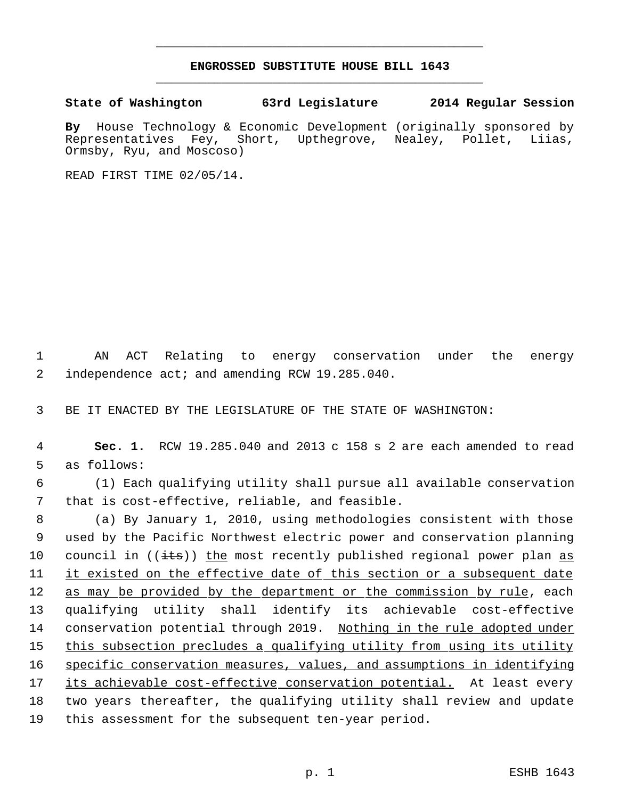## **ENGROSSED SUBSTITUTE HOUSE BILL 1643** \_\_\_\_\_\_\_\_\_\_\_\_\_\_\_\_\_\_\_\_\_\_\_\_\_\_\_\_\_\_\_\_\_\_\_\_\_\_\_\_\_\_\_\_\_

\_\_\_\_\_\_\_\_\_\_\_\_\_\_\_\_\_\_\_\_\_\_\_\_\_\_\_\_\_\_\_\_\_\_\_\_\_\_\_\_\_\_\_\_\_

## **State of Washington 63rd Legislature 2014 Regular Session**

By House Technology & Economic Development (originally sponsored by Representatives Fey, Short, Upthegrove, Nealey, Pollet, Liias, Representatives Fey, Short, Upthegrove, Nealey, Pollet, Liias, Ormsby, Ryu, and Moscoso)

READ FIRST TIME 02/05/14.

 1 AN ACT Relating to energy conservation under the energy 2 independence act; and amending RCW 19.285.040.

3 BE IT ENACTED BY THE LEGISLATURE OF THE STATE OF WASHINGTON:

 4 **Sec. 1.** RCW 19.285.040 and 2013 c 158 s 2 are each amended to read 5 as follows:

 6 (1) Each qualifying utility shall pursue all available conservation 7 that is cost-effective, reliable, and feasible.

 (a) By January 1, 2010, using methodologies consistent with those used by the Pacific Northwest electric power and conservation planning 10 council in  $((i$ ts)) the most recently published regional power plan as it existed on the effective date of this section or a subsequent date 12 as may be provided by the department or the commission by rule, each qualifying utility shall identify its achievable cost-effective conservation potential through 2019. Nothing in the rule adopted under 15 this subsection precludes a qualifying utility from using its utility specific conservation measures, values, and assumptions in identifying 17 its achievable cost-effective conservation potential. At least every two years thereafter, the qualifying utility shall review and update this assessment for the subsequent ten-year period.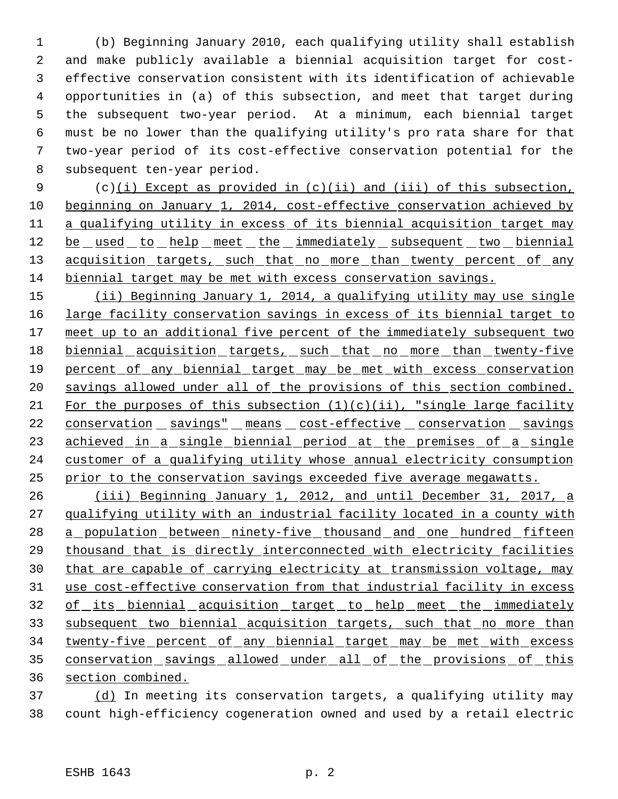(b) Beginning January 2010, each qualifying utility shall establish and make publicly available a biennial acquisition target for cost- effective conservation consistent with its identification of achievable opportunities in (a) of this subsection, and meet that target during the subsequent two-year period. At a minimum, each biennial target must be no lower than the qualifying utility's pro rata share for that two-year period of its cost-effective conservation potential for the subsequent ten-year period.

 (c)(i) Except as provided in (c)(ii) and (iii) of this subsection, beginning on January 1, 2014, cost-effective conservation achieved by a qualifying utility in excess of its biennial acquisition target may 12 be used to help meet the immediately subsequent two biennial 13 acquisition targets, such that no more than twenty percent of any biennial target may be met with excess conservation savings.

 (ii) Beginning January 1, 2014, a qualifying utility may use single 16 large facility conservation savings in excess of its biennial target to 17 meet up to an additional five percent of the immediately subsequent two 18 biennial acquisition targets, such that no more than twenty-five percent of any biennial target may be met with excess conservation savings allowed under all of the provisions of this section combined. 21 For the purposes of this subsection  $(1)(c)(ii)$ , "single large facility 22 conservation savings" means cost-effective conservation savings 23 achieved in a single biennial period at the premises of a single customer of a qualifying utility whose annual electricity consumption prior to the conservation savings exceeded five average megawatts.

 (iii) Beginning January 1, 2012, and until December 31, 2017, a qualifying utility with an industrial facility located in a county with 28 a population between ninety-five thousand and one hundred fifteen thousand that is directly interconnected with electricity facilities 30 that are capable of carrying electricity at transmission voltage, may use cost-effective conservation from that industrial facility in excess 32 of its biennial acquisition target to help meet the immediately subsequent two biennial acquisition targets, such that no more than twenty-five percent of any biennial target may be met with excess 35 conservation savings allowed under all of the provisions of this section combined.

 (d) In meeting its conservation targets, a qualifying utility may count high-efficiency cogeneration owned and used by a retail electric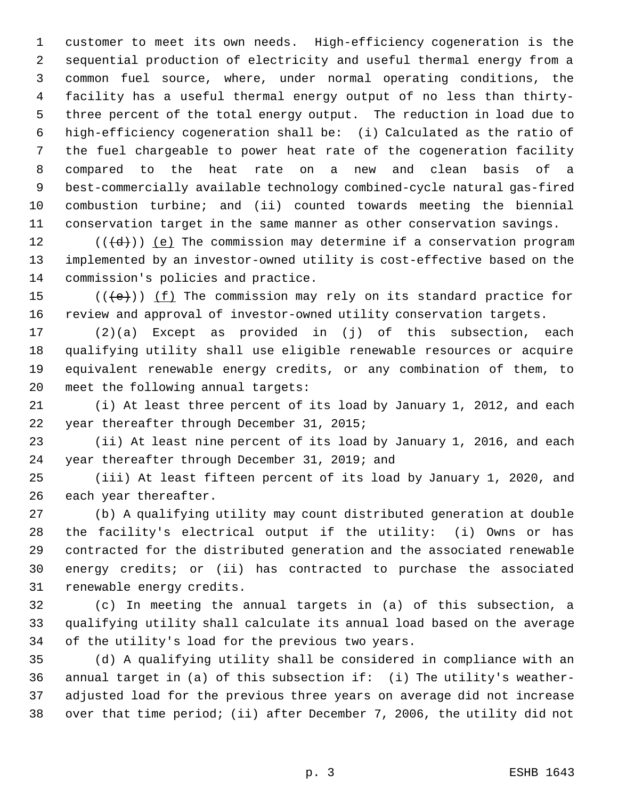customer to meet its own needs. High-efficiency cogeneration is the sequential production of electricity and useful thermal energy from a common fuel source, where, under normal operating conditions, the facility has a useful thermal energy output of no less than thirty- three percent of the total energy output. The reduction in load due to high-efficiency cogeneration shall be: (i) Calculated as the ratio of the fuel chargeable to power heat rate of the cogeneration facility compared to the heat rate on a new and clean basis of a best-commercially available technology combined-cycle natural gas-fired combustion turbine; and (ii) counted towards meeting the biennial conservation target in the same manner as other conservation savings.

 $((\{d\}) \leq e)$  The commission may determine if a conservation program implemented by an investor-owned utility is cost-effective based on the commission's policies and practice.

15  $((\{e\}) \cup (\{f\})$  The commission may rely on its standard practice for review and approval of investor-owned utility conservation targets.

 (2)(a) Except as provided in (j) of this subsection, each qualifying utility shall use eligible renewable resources or acquire equivalent renewable energy credits, or any combination of them, to meet the following annual targets:

 (i) At least three percent of its load by January 1, 2012, and each year thereafter through December 31, 2015;

 (ii) At least nine percent of its load by January 1, 2016, and each year thereafter through December 31, 2019; and

 (iii) At least fifteen percent of its load by January 1, 2020, and each year thereafter.

 (b) A qualifying utility may count distributed generation at double the facility's electrical output if the utility: (i) Owns or has contracted for the distributed generation and the associated renewable energy credits; or (ii) has contracted to purchase the associated renewable energy credits.

 (c) In meeting the annual targets in (a) of this subsection, a qualifying utility shall calculate its annual load based on the average of the utility's load for the previous two years.

 (d) A qualifying utility shall be considered in compliance with an annual target in (a) of this subsection if: (i) The utility's weather- adjusted load for the previous three years on average did not increase over that time period; (ii) after December 7, 2006, the utility did not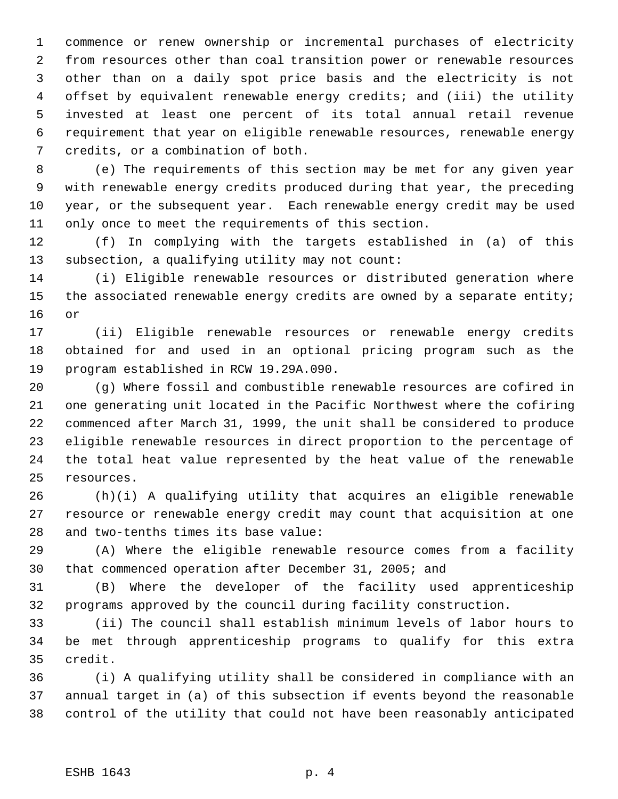commence or renew ownership or incremental purchases of electricity from resources other than coal transition power or renewable resources other than on a daily spot price basis and the electricity is not offset by equivalent renewable energy credits; and (iii) the utility invested at least one percent of its total annual retail revenue requirement that year on eligible renewable resources, renewable energy credits, or a combination of both.

 (e) The requirements of this section may be met for any given year with renewable energy credits produced during that year, the preceding year, or the subsequent year. Each renewable energy credit may be used only once to meet the requirements of this section.

 (f) In complying with the targets established in (a) of this subsection, a qualifying utility may not count:

 (i) Eligible renewable resources or distributed generation where 15 the associated renewable energy credits are owned by a separate entity; or

 (ii) Eligible renewable resources or renewable energy credits obtained for and used in an optional pricing program such as the program established in RCW 19.29A.090.

 (g) Where fossil and combustible renewable resources are cofired in one generating unit located in the Pacific Northwest where the cofiring commenced after March 31, 1999, the unit shall be considered to produce eligible renewable resources in direct proportion to the percentage of the total heat value represented by the heat value of the renewable resources.

 (h)(i) A qualifying utility that acquires an eligible renewable resource or renewable energy credit may count that acquisition at one and two-tenths times its base value:

 (A) Where the eligible renewable resource comes from a facility that commenced operation after December 31, 2005; and

 (B) Where the developer of the facility used apprenticeship programs approved by the council during facility construction.

 (ii) The council shall establish minimum levels of labor hours to be met through apprenticeship programs to qualify for this extra credit.

 (i) A qualifying utility shall be considered in compliance with an annual target in (a) of this subsection if events beyond the reasonable control of the utility that could not have been reasonably anticipated